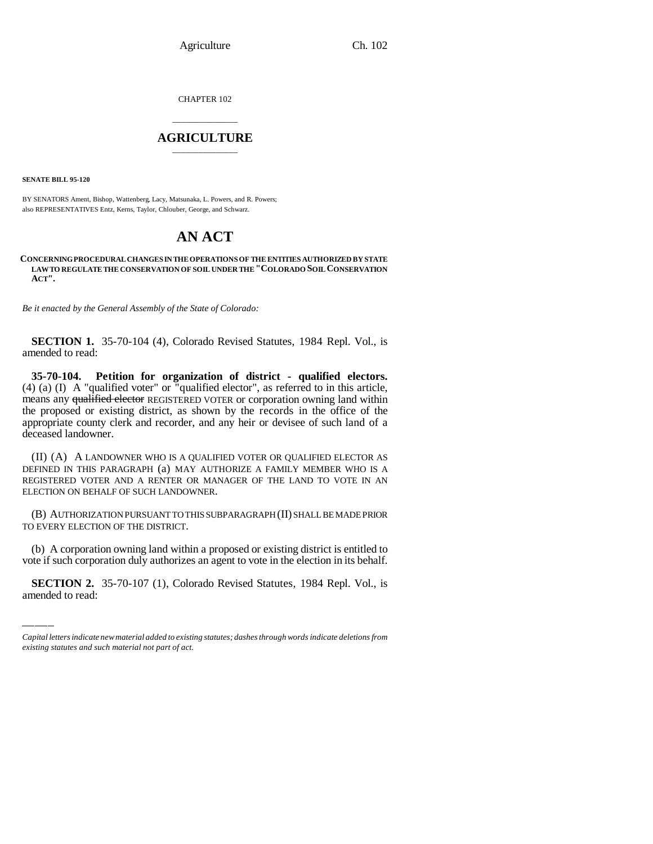Agriculture Ch. 102

CHAPTER 102

## \_\_\_\_\_\_\_\_\_\_\_\_\_\_\_ **AGRICULTURE** \_\_\_\_\_\_\_\_\_\_\_\_\_\_\_

**SENATE BILL 95-120**

BY SENATORS Ament, Bishop, Wattenberg, Lacy, Matsunaka, L. Powers, and R. Powers; also REPRESENTATIVES Entz, Kerns, Taylor, Chlouber, George, and Schwarz.

## **AN ACT**

**CONCERNING PROCEDURAL CHANGES IN THE OPERATIONS OF THE ENTITIES AUTHORIZED BY STATE LAW TO REGULATE THE CONSERVATION OF SOIL UNDER THE "COLORADO SOIL CONSERVATION ACT".**

*Be it enacted by the General Assembly of the State of Colorado:*

**SECTION 1.** 35-70-104 (4), Colorado Revised Statutes, 1984 Repl. Vol., is amended to read:

**35-70-104. Petition for organization of district - qualified electors.** (4) (a) (I) A "qualified voter" or "qualified elector", as referred to in this article, means any qualified elector REGISTERED VOTER or corporation owning land within the proposed or existing district, as shown by the records in the office of the appropriate county clerk and recorder, and any heir or devisee of such land of a deceased landowner.

(II) (A) A LANDOWNER WHO IS A QUALIFIED VOTER OR QUALIFIED ELECTOR AS DEFINED IN THIS PARAGRAPH (a) MAY AUTHORIZE A FAMILY MEMBER WHO IS A REGISTERED VOTER AND A RENTER OR MANAGER OF THE LAND TO VOTE IN AN ELECTION ON BEHALF OF SUCH LANDOWNER.

(B) AUTHORIZATION PURSUANT TO THIS SUBPARAGRAPH (II) SHALL BE MADE PRIOR TO EVERY ELECTION OF THE DISTRICT.

(b) A corporation owning land within a proposed or existing district is entitled to vote if such corporation duly authorizes an agent to vote in the election in its behalf.

**SECTION 2.** 35-70-107 (1), Colorado Revised Statutes, 1984 Repl. Vol., is amended to read:

*Capital letters indicate new material added to existing statutes; dashes through words indicate deletions from existing statutes and such material not part of act.*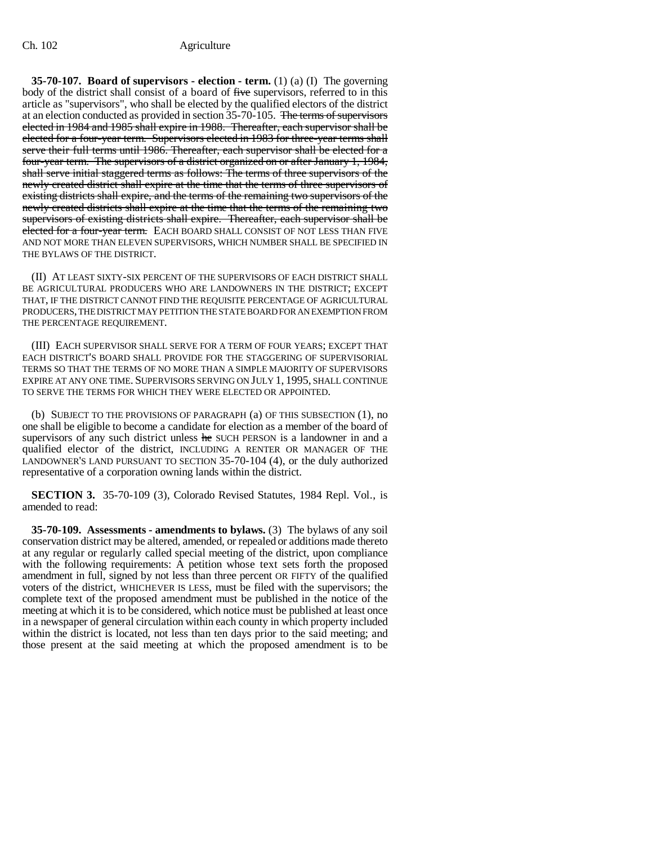## Ch. 102 Agriculture

**35-70-107. Board of supervisors - election - term.** (1) (a) (I) The governing body of the district shall consist of a board of five supervisors, referred to in this article as "supervisors", who shall be elected by the qualified electors of the district at an election conducted as provided in section 35-70-105. The terms of supervisors elected in 1984 and 1985 shall expire in 1988. Thereafter, each supervisor shall be elected for a four-year term. Supervisors elected in 1983 for three-year terms shall serve their full terms until 1986. Thereafter, each supervisor shall be elected for a four-year term. The supervisors of a district organized on or after January 1, 1984, shall serve initial staggered terms as follows: The terms of three supervisors of the newly created district shall expire at the time that the terms of three supervisors of existing districts shall expire, and the terms of the remaining two supervisors of the newly created districts shall expire at the time that the terms of the remaining two supervisors of existing districts shall expire. Thereafter, each supervisor shall be elected for a four-year term. EACH BOARD SHALL CONSIST OF NOT LESS THAN FIVE AND NOT MORE THAN ELEVEN SUPERVISORS, WHICH NUMBER SHALL BE SPECIFIED IN THE BYLAWS OF THE DISTRICT.

(II) AT LEAST SIXTY-SIX PERCENT OF THE SUPERVISORS OF EACH DISTRICT SHALL BE AGRICULTURAL PRODUCERS WHO ARE LANDOWNERS IN THE DISTRICT; EXCEPT THAT, IF THE DISTRICT CANNOT FIND THE REQUISITE PERCENTAGE OF AGRICULTURAL PRODUCERS, THE DISTRICT MAY PETITION THE STATE BOARD FOR AN EXEMPTION FROM THE PERCENTAGE REQUIREMENT.

(III) EACH SUPERVISOR SHALL SERVE FOR A TERM OF FOUR YEARS; EXCEPT THAT EACH DISTRICT'S BOARD SHALL PROVIDE FOR THE STAGGERING OF SUPERVISORIAL TERMS SO THAT THE TERMS OF NO MORE THAN A SIMPLE MAJORITY OF SUPERVISORS EXPIRE AT ANY ONE TIME. SUPERVISORS SERVING ON JULY 1, 1995, SHALL CONTINUE TO SERVE THE TERMS FOR WHICH THEY WERE ELECTED OR APPOINTED.

(b) SUBJECT TO THE PROVISIONS OF PARAGRAPH (a) OF THIS SUBSECTION (1), no one shall be eligible to become a candidate for election as a member of the board of supervisors of any such district unless he SUCH PERSON is a landowner in and a qualified elector of the district, INCLUDING A RENTER OR MANAGER OF THE LANDOWNER'S LAND PURSUANT TO SECTION 35-70-104 (4), or the duly authorized representative of a corporation owning lands within the district.

**SECTION 3.** 35-70-109 (3), Colorado Revised Statutes, 1984 Repl. Vol., is amended to read:

**35-70-109. Assessments - amendments to bylaws.** (3) The bylaws of any soil conservation district may be altered, amended, or repealed or additions made thereto at any regular or regularly called special meeting of the district, upon compliance with the following requirements: A petition whose text sets forth the proposed amendment in full, signed by not less than three percent OR FIFTY of the qualified voters of the district, WHICHEVER IS LESS, must be filed with the supervisors; the complete text of the proposed amendment must be published in the notice of the meeting at which it is to be considered, which notice must be published at least once in a newspaper of general circulation within each county in which property included within the district is located, not less than ten days prior to the said meeting; and those present at the said meeting at which the proposed amendment is to be